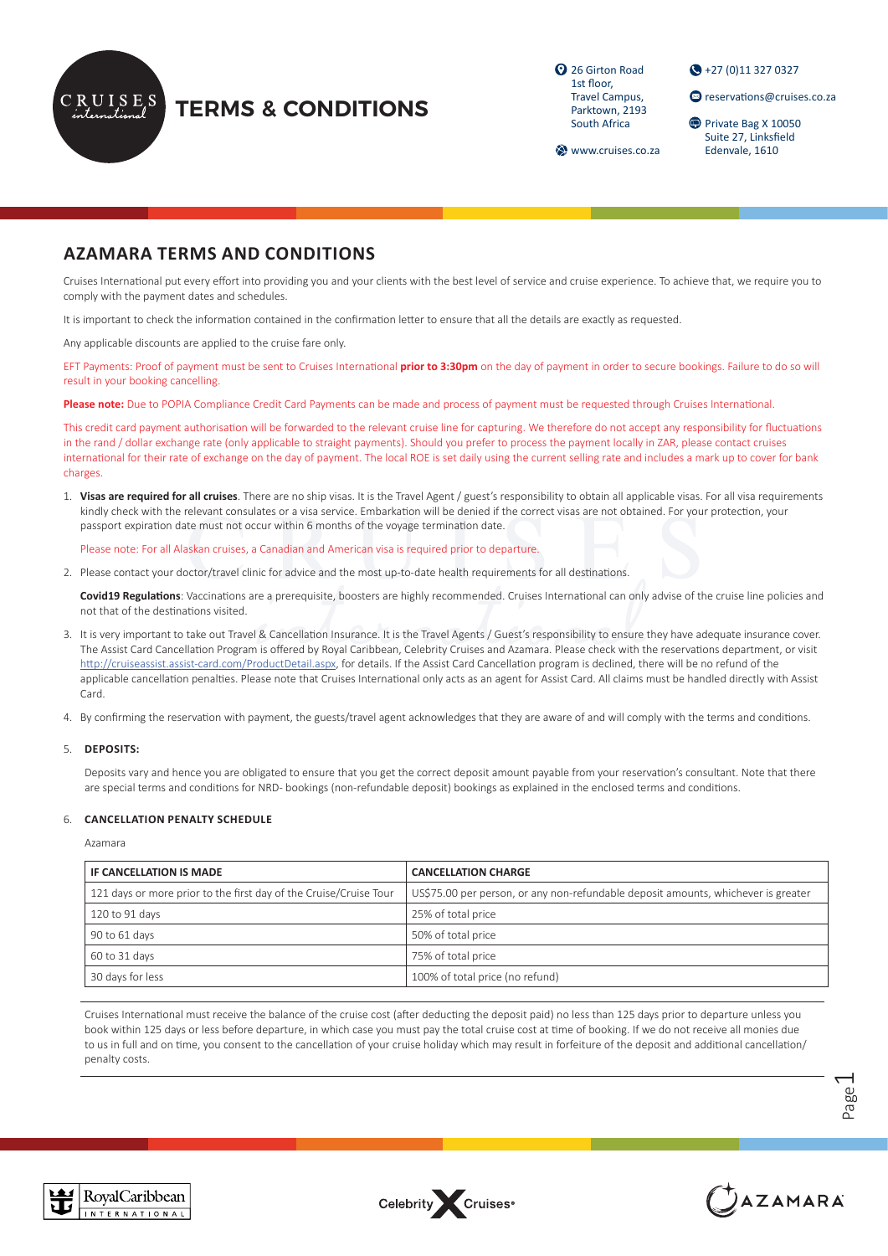

# **TERMS & CONDITIONS**

<sup>2</sup> 26 Girton Road 1st floor, Travel Campus, Parktown, 2193 South Africa

+27 (0)11 327 0327

**<sup>@</sup>** reservations@cruises.co.za

Private Bag X 10050 Suite 27, Linksfield Edenvale, 1610

**Www.cruises.co.za** 

# **AZAMARA TERMS AND CONDITIONS**

Cruises International put every effort into providing you and your clients with the best level of service and cruise experience. To achieve that, we require you to comply with the payment dates and schedules.

It is important to check the information contained in the confirmation letter to ensure that all the details are exactly as requested.

Any applicable discounts are applied to the cruise fare only.

EFT Payments: Proof of payment must be sent to Cruises International **prior to 3:30pm** on the day of payment in order to secure bookings. Failure to do so will result in your booking cancelling.

**Please note:** Due to POPIA Compliance Credit Card Payments can be made and process of payment must be requested through Cruises International.

This credit card payment authorisation will be forwarded to the relevant cruise line for capturing. We therefore do not accept any responsibility for fluctuations in the rand / dollar exchange rate (only applicable to straight payments). Should you prefer to process the payment locally in ZAR, please contact cruises international for their rate of exchange on the day of payment. The local ROE is set daily using the current selling rate and includes a mark up to cover for bank charges.

1. **Visas are required for all cruises**. There are no ship visas. It is the Travel Agent / guest's responsibility to obtain all applicable visas. For all visa requirements kindly check with the relevant consulates or a visa service. Embarkation will be denied if the correct visas are not obtained. For your protection, your passport expiration date must not occur within 6 months of the voyage termination date.

Please note: For all Alaskan cruises, a Canadian and American visa is required prior to departure.

2. Please contact your doctor/travel clinic for advice and the most up-to-date health requirements for all destinations.

**Covid19 Regulations**: Vaccinations are a prerequisite, boosters are highly recommended. Cruises International can only advise of the cruise line policies and not that of the destinations visited.

- 3. It is very important to take out Travel & Cancellation Insurance. It is the Travel Agents / Guest's responsibility to ensure they have adequate insurance cover. The Assist Card Cancellation Program is offered by Royal Caribbean, Celebrity Cruises and Azamara. Please check with the reservations department, or visit <http://cruiseassist.assist-card.com/ProductDetail.aspx>, for details. If the Assist Card Cancellation program is declined, there will be no refund of the applicable cancellation penalties. Please note that Cruises International only acts as an agent for Assist Card. All claims must be handled directly with Assist Card.
- 4. By confirming the reservation with payment, the guests/travel agent acknowledges that they are aware of and will comply with the terms and conditions.

#### 5. **DEPOSITS:**

Deposits vary and hence you are obligated to ensure that you get the correct deposit amount payable from your reservation's consultant. Note that there are special terms and conditions for NRD- bookings (non-refundable deposit) bookings as explained in the enclosed terms and conditions.

#### 6. **CANCELLATION PENALTY SCHEDULE**

Azamara

| IF CANCELLATION IS MADE                                           | <b>CANCELLATION CHARGE</b>                                                        |  |
|-------------------------------------------------------------------|-----------------------------------------------------------------------------------|--|
| 121 days or more prior to the first day of the Cruise/Cruise Tour | US\$75.00 per person, or any non-refundable deposit amounts, whichever is greater |  |
| 120 to 91 days                                                    | 25% of total price                                                                |  |
| 90 to 61 days                                                     | 50% of total price                                                                |  |
| 60 to 31 days                                                     | 75% of total price                                                                |  |
| 30 days for less                                                  | 100% of total price (no refund)                                                   |  |

Cruises International must receive the balance of the cruise cost (after deducting the deposit paid) no less than 125 days prior to departure unless you book within 125 days or less before departure, in which case you must pay the total cruise cost at time of booking. If we do not receive all monies due to us in full and on time, you consent to the cancellation of your cruise holiday which may result in forfeiture of the deposit and additional cancellation/ penalty costs.

> Page  $\overline{\phantom{0}}$





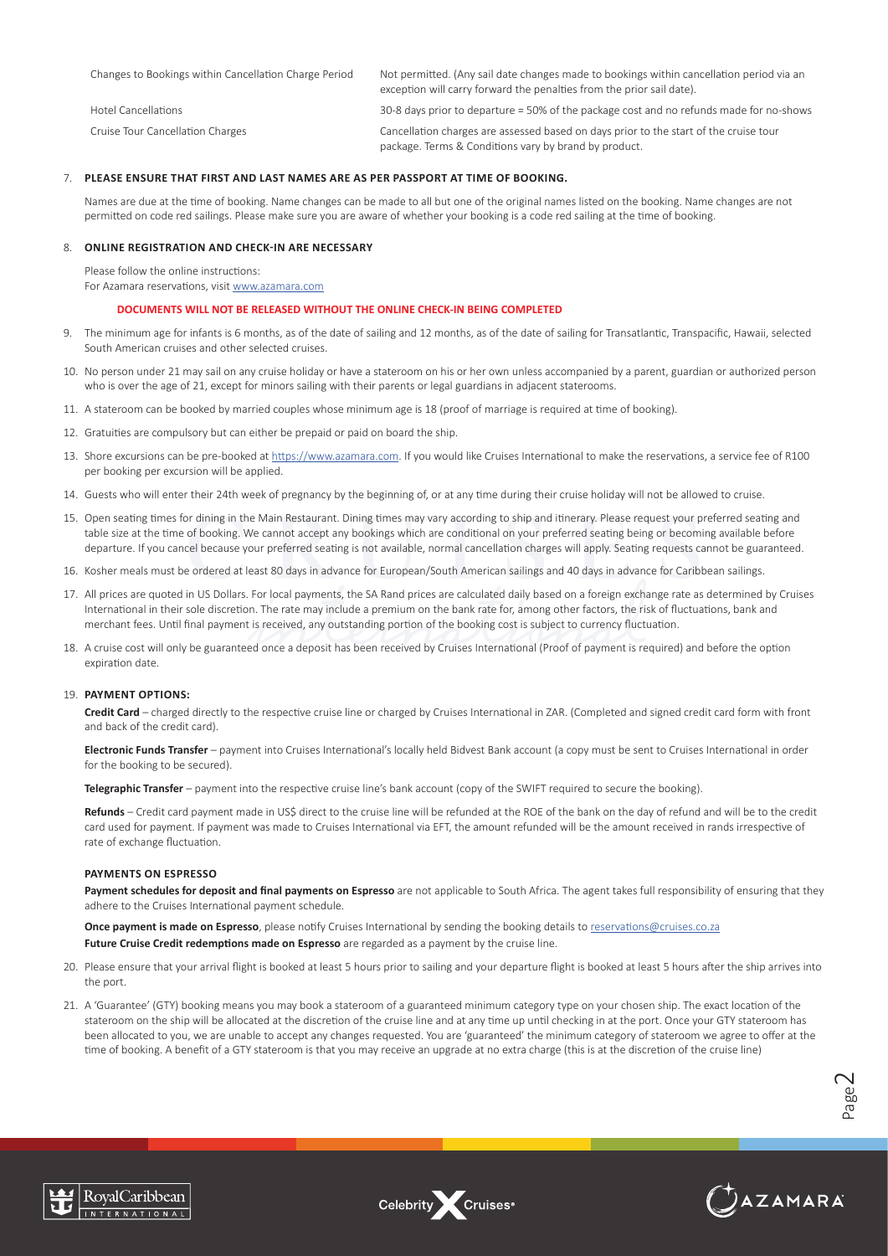| Changes to Bookings within Cancellation Charge Period | Not permitted. (Any sail date changes made to bookings within cancellation period via an<br>exception will carry forward the penalties from the prior sail date). |
|-------------------------------------------------------|-------------------------------------------------------------------------------------------------------------------------------------------------------------------|
| Hotel Cancellations                                   | 30-8 days prior to departure = 50% of the package cost and no refunds made for no-shows                                                                           |
| Cruise Tour Cancellation Charges                      | Cancellation charges are assessed based on days prior to the start of the cruise tour<br>package. Terms & Conditions vary by brand by product.                    |

#### 7. **PLEASE ENSURE THAT FIRST AND LAST NAMES ARE AS PER PASSPORT AT TIME OF BOOKING.**

Names are due at the time of booking. Name changes can be made to all but one of the original names listed on the booking. Name changes are not permitted on code red sailings. Please make sure you are aware of whether your booking is a code red sailing at the time of booking.

## 8. **ONLINE REGISTRATION AND CHECK-IN ARE NECESSARY**

Please follow the online instructions:

For Azamara reservations, visit [www.azamara.com](https://www.azamara.com/)

#### **DOCUMENTS WILL NOT BE RELEASED WITHOUT THE ONLINE CHECK-IN BEING COMPLETED**

- 9. The minimum age for infants is 6 months, as of the date of sailing and 12 months, as of the date of sailing for Transatlantic, Transpacific, Hawaii, selected South American cruises and other selected cruises.
- 10. No person under 21 may sail on any cruise holiday or have a stateroom on his or her own unless accompanied by a parent, guardian or authorized person who is over the age of 21, except for minors sailing with their parents or legal guardians in adjacent staterooms.
- 11. A stateroom can be booked by married couples whose minimum age is 18 (proof of marriage is required at time of booking).
- 12. Gratuities are compulsory but can either be prepaid or paid on board the ship.
- 13. Shore excursions can be pre-booked at [https://www.azamara.com](https://www.azamara.com/). If you would like Cruises International to make the reservations, a service fee of R100 per booking per excursion will be applied.
- 14. Guests who will enter their 24th week of pregnancy by the beginning of, or at any time during their cruise holiday will not be allowed to cruise.
- 15. Open seating times for dining in the Main Restaurant. Dining times may vary according to ship and itinerary. Please request your preferred seating and table size at the time of booking. We cannot accept any bookings which are conditional on your preferred seating being or becoming available before departure. If you cancel because your preferred seating is not available, normal cancellation charges will apply. Seating requests cannot be guaranteed.
- 16. Kosher meals must be ordered at least 80 days in advance for European/South American sailings and 40 days in advance for Caribbean sailings.
- 17. All prices are quoted in US Dollars. For local payments, the SA Rand prices are calculated daily based on a foreign exchange rate as determined by Cruises International in their sole discretion. The rate may include a premium on the bank rate for, among other factors, the risk of fluctuations, bank and merchant fees. Until final payment is received, any outstanding portion of the booking cost is subject to currency fluctuation.
- 18. A cruise cost will only be guaranteed once a deposit has been received by Cruises International (Proof of payment is required) and before the option expiration date.

#### 19. **PAYMENT OPTIONS:**

**Credit Card** – charged directly to the respective cruise line or charged by Cruises International in ZAR. (Completed and signed credit card form with front and back of the credit card).

**Electronic Funds Transfer** – payment into Cruises International's locally held Bidvest Bank account (a copy must be sent to Cruises International in order for the booking to be secured).

**Telegraphic Transfer** – payment into the respective cruise line's bank account (copy of the SWIFT required to secure the booking).

**Refunds** – Credit card payment made in US\$ direct to the cruise line will be refunded at the ROE of the bank on the day of refund and will be to the credit card used for payment. If payment was made to Cruises International via EFT, the amount refunded will be the amount received in rands irrespective of rate of exchange fluctuation.

## **PAYMENTS ON ESPRESSO**

Payment schedules for deposit and final payments on Espresso are not applicable to South Africa. The agent takes full responsibility of ensuring that they adhere to the Cruises International payment schedule.

**Once payment is made on Espresso**, please notify Cruises International by sending the booking details to [reservations@cruises.co.za](mailto:reservations%40cruises.co.za?subject=) **Future Cruise Credit redemptions made on Espresso** are regarded as a payment by the cruise line.

- 20. Please ensure that your arrival flight is booked at least 5 hours prior to sailing and your departure flight is booked at least 5 hours after the ship arrives into the port.
- 21. A 'Guarantee' (GTY) booking means you may book a stateroom of a guaranteed minimum category type on your chosen ship. The exact location of the stateroom on the ship will be allocated at the discretion of the cruise line and at any time up until checking in at the port. Once your GTY stateroom has been allocated to you, we are unable to accept any changes requested. You are 'guaranteed' the minimum category of stateroom we agree to offer at the time of booking. A benefit of a GTY stateroom is that you may receive an upgrade at no extra charge (this is at the discretion of the cruise line)